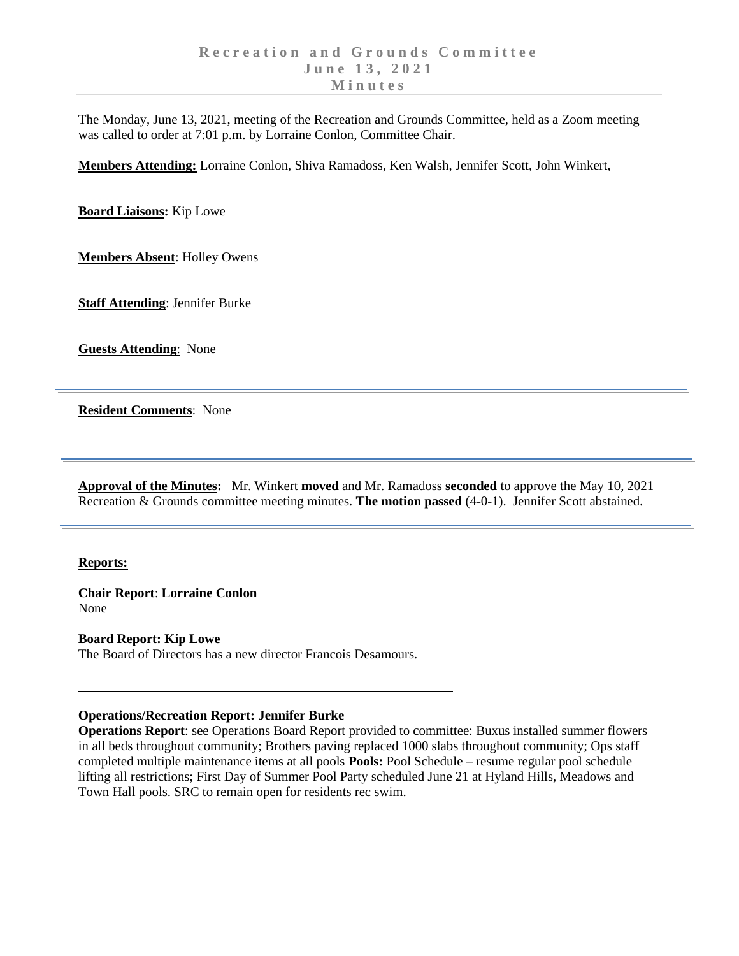The Monday, June 13, 2021, meeting of the Recreation and Grounds Committee, held as a Zoom meeting was called to order at 7:01 p.m. by Lorraine Conlon, Committee Chair.

**Members Attending:** Lorraine Conlon, Shiva Ramadoss, Ken Walsh, Jennifer Scott, John Winkert,

**Board Liaisons:** Kip Lowe

**Members Absent**: Holley Owens

**Staff Attending**: Jennifer Burke

**Guests Attending**: None

**Resident Comments**: None

**Approval of the Minutes:** Mr. Winkert **moved** and Mr. Ramadoss **seconded** to approve the May 10, 2021 Recreation & Grounds committee meeting minutes. **The motion passed** (4-0-1). Jennifer Scott abstained.

## **Reports:**

**Chair Report**: **Lorraine Conlon** None

**Board Report: Kip Lowe** The Board of Directors has a new director Francois Desamours.

## **Operations/Recreation Report: Jennifer Burke**

**Operations Report**: see Operations Board Report provided to committee: Buxus installed summer flowers in all beds throughout community; Brothers paving replaced 1000 slabs throughout community; Ops staff completed multiple maintenance items at all pools **Pools:** Pool Schedule – resume regular pool schedule lifting all restrictions; First Day of Summer Pool Party scheduled June 21 at Hyland Hills, Meadows and Town Hall pools. SRC to remain open for residents rec swim.